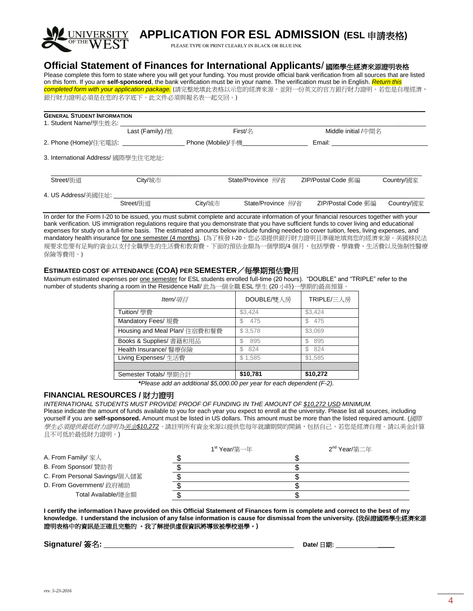

# **APPLICATION FOR ESL ADMISSION (ESL** 申請表格**)**

PLEASE TYPE OR PRINT CLEARLY IN BLACK OR BLUE INK

## **Official Statement of Finances for International Applicants**/ 國際學生經濟來源證明表格

Please complete this form to state where you will get your funding. You must provide official bank verification from all sources that are listed on this form. If you are **self-sponsored**, the bank verification must be in your name. The verification must be in English. *Return this*  completed form with your application package. (請完整地填此表格以示您的經濟來源,並附一份英文的官方銀行財力證明。若您是自理經濟, 銀行財力證明必須是在您的名字底下。此文件必須與報名表一起交回。)

| <b>GENERAL STUDENT INFORMATION</b><br>1. Student Name/學生姓名: |                  |         |                                  |                      |                   |
|-------------------------------------------------------------|------------------|---------|----------------------------------|----------------------|-------------------|
|                                                             | Last (Family) /姓 |         | <b>First/名</b>                   | Middle initial /中間名  |                   |
| 2. Phone (Home)/住宅電話:                                       |                  |         | <b>Phone (Mobile)/手機________</b> | Email: <b>Email:</b> |                   |
| 3. International Address/ 國際學生住宅地址:                         |                  |         |                                  |                      |                   |
| Street/街道                                                   | City/城市          |         | State/Province 州/省               | ZIP/Postal Code 郵編   | <b>Country/國家</b> |
| 4. US Address/美國住址:                                         |                  |         |                                  |                      |                   |
|                                                             | Street/街道        | City/城市 | State/Province 州/省               | ZIP/Postal Code 郵編   | <b>Country/國家</b> |

In order for the Form I-20 to be issued, you must submit complete and accurate information of your financial resources together with your bank verification. US immigration regulations require that you demonstrate that you have sufficient funds to cover living and educational expenses for study on a full-time basis. The estimated amounts below include funding needed to cover tuition, fees, living expenses, and mandatory health insurance for one semester (4 months). (為了核發 I-20, 您必須提供銀行財力證明且準確地填寫您的經濟來源。美國移民法 規要求您要有足夠的資金以支付全職學生的生活費和教育費。下面的預估金額為一個學期/4 個月,包括學費、學雜費、生活費以及強制性醫療 保險等費用。)

#### **ESTIMATED COST OF ATTENDANCE (COA) PER SEMESTER**/每學期預估費用

Maximum estimated expenses per one semester for ESL students enrolled full-time (20 hours). "DOUBLE" and "TRIPLE" refer to the number of students sharing a room in the Residence Hall/ 此為一個全職 ESL 學生 (20 小時)一學期的最高預算。

| Item/項月                       | DOUBLE/雙人房 | TRIPLE/三人房 |
|-------------------------------|------------|------------|
| Tuition/ 學費                   | \$3,424    | \$3,424    |
| Mandatory Fees/ 規費            | 475<br>S   | 475<br>\$. |
| Housing and Meal Plan/ 住宿費和餐費 | \$3,578    | \$3,069    |
| Books & Supplies/ 書籍和用品       | 895        | 895<br>S   |
| Health Insurance/ 醫療保險        | 824<br>S.  | 824<br>ς.  |
| Living Expenses/ 生活費          | \$1,585    | \$1,585    |
|                               |            |            |
| Semester Totals/ 學期合計         | \$10,781   | \$10,272   |

**\****Please add an additional \$5,000.00 per year for each dependent (F-2).*

### **FINANCIAL RESOURCES /** 財力證明

*INTERNATIONAL STUDENTS MUST PROVIDE PROOF OF FUNDING IN THE AMOUNT OF \$10,272 USD MINIMUM.* Please indicate the amount of funds available to you for each year you expect to enroll at the university. Please list all sources, including yourself if you are **self-sponsored.** Amount must be listed in US dollars. This amount must be more than the listed required amount. (國際 學生必須提供最低財力證明為美金*\$10,272*。請註明所有資金來源以提供您每年就讀期間的開銷,包括自己,若您是經濟自理。請以美金計算 且不可低於最低財力證明。)

|                               | 1 <sup>st</sup> Year/第一年 | 2 <sup>nd</sup> Year/第二年 |
|-------------------------------|--------------------------|--------------------------|
| A. From Family/ 家人            |                          |                          |
| B. From Sponsor/ 贊助者          |                          |                          |
| C. From Personal Savings/個人儲蓄 |                          |                          |
| D. From Government/ 政府補助      |                          |                          |
| Total Available/總金額           |                          |                          |

**I certify the information I have provided on this Official Statement of Finances form is complete and correct to the best of my knowledge. I understand the inclusion of any false information is cause for dismissal from the university. (**我保證國際學生經濟來源 證明表格中的資訊是正確且完整的 。我了解提供虛假資訊將導致被學校退學。**)**

### **Signature/** 簽名**: Date/** 日期**: \_\_\_\_\_**